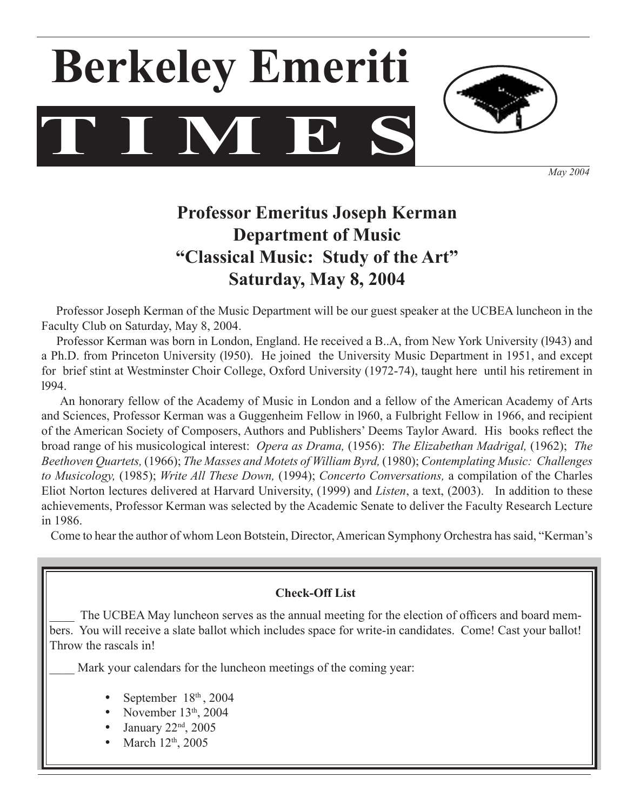# **T I M E S Berkeley Emeriti**



*May 2004*

# **Professor Emeritus Joseph Kerman Department of Music "Classical Music: Study of the Art" Saturday, May 8, 2004**

 Professor Joseph Kerman of the Music Department will be our guest speaker at the UCBEA luncheon in the Faculty Club on Saturday, May 8, 2004.

 Professor Kerman was born in London, England. He received a B..A, from New York University (l943) and a Ph.D. from Princeton University (l950). He joined the University Music Department in 1951, and except for brief stint at Westminster Choir College, Oxford University (1972-74), taught here until his retirement in l994.

 An honorary fellow of the Academy of Music in London and a fellow of the American Academy of Arts and Sciences, Professor Kerman was a Guggenheim Fellow in l960, a Fulbright Fellow in 1966, and recipient of the American Society of Composers, Authors and Publishers' Deems Taylor Award. His books reflect the broad range of his musicological interest: *Opera as Drama,* (1956): *The Elizabethan Madrigal,* (1962); *The Beethoven Quartets,* (1966); *The Masses and Motets of William Byrd,* (1980); *Contemplating Music: Challenges to Musicology,* (1985); *Write All These Down,* (1994); *Concerto Conversations,* a compilation of the Charles Eliot Norton lectures delivered at Harvard University, (1999) and *Listen*, a text, (2003). In addition to these achievements, Professor Kerman was selected by the Academic Senate to deliver the Faculty Research Lecture in 1986.

Come to hear the author of whom Leon Botstein, Director,American Symphony Orchestra hassaid, "Kerman's

### **Check-Off List**

The UCBEA May luncheon serves as the annual meeting for the election of officers and board members. You will receive a slate ballot which includes space for write-in candidates. Come! Cast your ballot! Throw the rascals in!

Mark your calendars for the luncheon meetings of the coming year:

- September 18<sup>th</sup>, 2004
- November  $13<sup>th</sup>$ , 2004
- January 22<sup>nd</sup>, 2005
- March 12<sup>th</sup>, 2005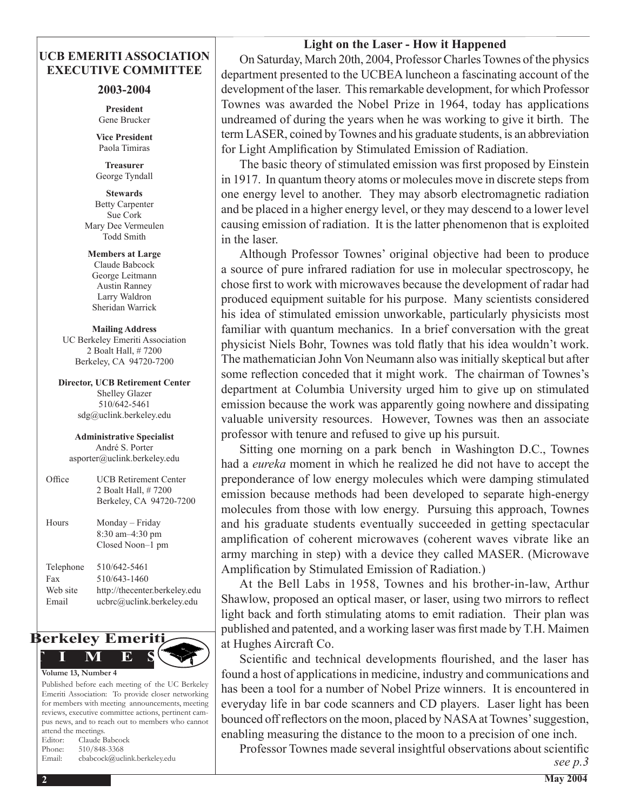#### **Light on the Laser - How it Happened**

#### **UCB EMERITI ASSOCIATION EXECUTIVE COMMITTEE**

#### **2003-2004**

**President** Gene Brucker

**Vice President** Paola Timiras

**Treasurer**  George Tyndall

**Stewards** Betty Carpenter Sue Cork Mary Dee Vermeulen Todd Smith

**Members at Large** Claude Babcock George Leitmann Austin Ranney Larry Waldron Sheridan Warrick

**Mailing Address** UC Berkeley Emeriti Association 2 Boalt Hall, # 7200 Berkeley, CA 94720-7200

**Director, UCB Retirement Center** Shelley Glazer 510/642-5461 sdg@uclink.berkeley.edu

**Administrative Specialist** André S. Porter asporter@uclink.berkeley.edu

| Office                                | <b>UCB Retirement Center</b><br>2 Boalt Hall, #7200<br>Berkeley, CA 94720-7200             |
|---------------------------------------|--------------------------------------------------------------------------------------------|
| Hours                                 | Monday – Friday<br>8:30 am-4:30 pm<br>Closed Noon-1 pm                                     |
| Telephone<br>Fax<br>Web site<br>Email | 510/642-5461<br>510/643-1460<br>http://thecenter.berkeley.edu<br>ucbrc@uclink.berkeley.edu |



Published before each meeting of the UC Berkeley Emeriti Association: To provide closer networking for members with meeting announcements, meeting reviews, executive committee actions, pertinent campus news, and to reach out to members who cannot attend the meetings. Editor: Claude Babcock Phone: 510/848-3368

Email: cbabcock@uclink.berkeley.edu

 On Saturday, March 20th, 2004, ProfessorCharlesTownes of the physics department presented to the UCBEA luncheon a fascinating account of the development of the laser. Thisremarkable development, for which Professor Townes was awarded the Nobel Prize in 1964, today has applications undreamed of during the years when he was working to give it birth. The term LASER, coined byTownes and his graduate students, is an abbreviation for Light Amplification by Stimulated Emission of Radiation.

The basic theory of stimulated emission was first proposed by Einstein in 1917. In quantum theory atoms or molecules move in discrete steps from one energy level to another. They may absorb electromagnetic radiation and be placed in a higher energy level, or they may descend to a lower level causing emission of radiation. It is the latter phenomenon that is exploited in the laser.

 Although Professor Townes' original objective had been to produce a source of pure infrared radiation for use in molecular spectroscopy, he chose first to work with microwaves because the development of radar had produced equipment suitable for his purpose. Many scientists considered his idea of stimulated emission unworkable, particularly physicists most familiar with quantum mechanics. In a brief conversation with the great physicist Niels Bohr, Townes was told flatly that his idea wouldn't work. The mathematician John Von Neumann also was initially skeptical but after some reflection conceded that it might work. The chairman of Townes's department at Columbia University urged him to give up on stimulated emission because the work was apparently going nowhere and dissipating valuable university resources. However, Townes was then an associate professor with tenure and refused to give up his pursuit.

 Sitting one morning on a park bench in Washington D.C., Townes had a *eureka* moment in which he realized he did not have to accept the preponderance of low energy molecules which were damping stimulated emission because methods had been developed to separate high-energy molecules from those with low energy. Pursuing this approach, Townes and his graduate students eventually succeeded in getting spectacular amplification of coherent microwaves (coherent waves vibrate like an army marching in step) with a device they called MASER. (Microwave Amplification by Stimulated Emission of Radiation.)

 At the Bell Labs in 1958, Townes and his brother-in-law, Arthur Shawlow, proposed an optical maser, or laser, using two mirrors to reflect light back and forth stimulating atoms to emit radiation. Their plan was published and patented, and a working laser was first made by T.H. Maimen at Hughes Aircraft Co.

Scientific and technical developments flourished, and the laser has found a host of applications in medicine, industry and communications and has been a tool for a number of Nobel Prize winners. It is encountered in everyday life in bar code scanners and CD players. Laser light has been bounced off reflectors on the moon, placed by NASA at Townes' suggestion, enabling measuring the distance to the moon to a precision of one inch.

Professor Townes made several insightful observations about scientific *see p.3*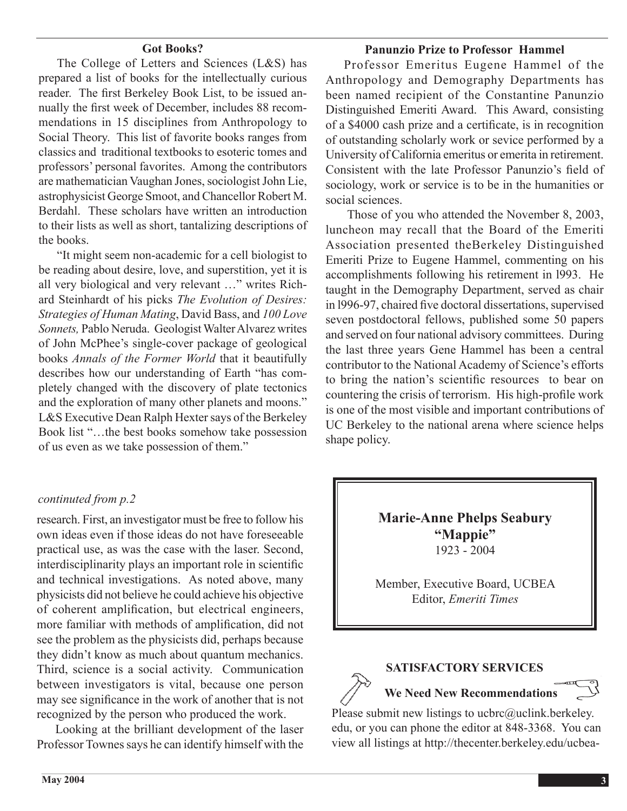#### **Got Books?**

The College of Letters and Sciences (L&S) has prepared a list of books for the intellectually curious reader. The first Berkeley Book List, to be issued annually the first week of December, includes 88 recommendations in 15 disciplines from Anthropology to Social Theory. This list of favorite books ranges from classics and traditional textbooks to esoteric tomes and professors' personal favorites. Among the contributors are mathematician Vaughan Jones, sociologist John Lie, astrophysicist George Smoot, and Chancellor Robert M. Berdahl. These scholars have written an introduction to their lists as well as short, tantalizing descriptions of the books.

"It might seem non-academic for a cell biologist to be reading about desire, love, and superstition, yet it is all very biological and very relevant …" writes Richard Steinhardt of his picks *The Evolution of Desires: Strategies of Human Mating*, David Bass, and *100 Love Sonnets,* Pablo Neruda. Geologist WalterAlvarez writes of John McPhee's single-cover package of geological books *Annals of the Former World* that it beautifully describes how our understanding of Earth "has completely changed with the discovery of plate tectonics and the exploration of many other planets and moons." L&S Executive Dean Ralph Hexter says of the Berkeley Book list "…the best books somehow take possession of us even as we take possession of them."

#### *continuted from p.2*

research. First, an investigator must be free to follow his own ideas even if those ideas do not have foreseeable practical use, as was the case with the laser. Second, interdisciplinarity plays an important role in scientific and technical investigations. As noted above, many physicists did not believe he could achieve his objective of coherent amplification, but electrical engineers, more familiar with methods of amplification, did not see the problem as the physicists did, perhaps because they didn't know as much about quantum mechanics. Third, science is a social activity. Communication between investigators is vital, because one person may see significance in the work of another that is not recognized by the person who produced the work.

 Looking at the brilliant development of the laser Professor Townes says he can identify himself with the

#### **Panunzio Prize to Professor Hammel**

 Professor Emeritus Eugene Hammel of the Anthropology and Demography Departments has been named recipient of the Constantine Panunzio Distinguished Emeriti Award. This Award, consisting of a \$4000 cash prize and a certificate, is in recognition of outstanding scholarly work or sevice performed by a University of California emeritus or emerita in retirement. Consistent with the late Professor Panunzio's field of sociology, work or service is to be in the humanities or social sciences.

Those of you who attended the November 8, 2003, luncheon may recall that the Board of the Emeriti Association presented theBerkeley Distinguished Emeriti Prize to Eugene Hammel, commenting on his accomplishments following his retirement in l993. He taught in the Demography Department, served as chair in l996-97, chaired five doctoral dissertations, supervised seven postdoctoral fellows, published some 50 papers and served on four national advisory committees. During the last three years Gene Hammel has been a central contributor to the National Academy of Science's efforts to bring the nation's scientific resources to bear on countering the crisis of terrorism. His high-profile work is one of the most visible and important contributions of UC Berkeley to the national arena where science helps shape policy.

> **Marie-Anne Phelps Seabury "Mappie"** 1923 - 2004

Member, Executive Board, UCBEA Editor, *Emeriti Times*

#### **SATISFACTORY SERVICES**

**We Need New Recommendations**

Please submit new listings to ucbrc@uclink.berkeley. edu, or you can phone the editor at 848-3368. You can view all listings at http://thecenter.berkeley.edu/ucbea-